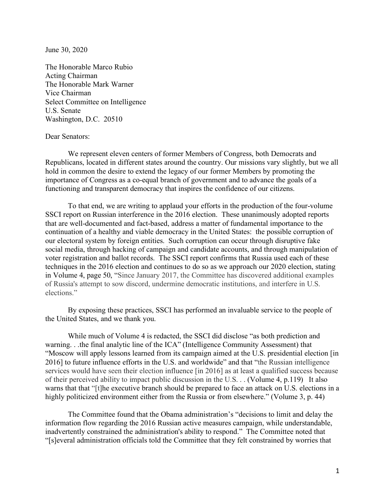June 30, 2020

The Honorable Marco Rubio Acting Chairman The Honorable Mark Warner Vice Chairman Select Committee on Intelligence U.S. Senate Washington, D.C. 20510

## Dear Senators:

We represent eleven centers of former Members of Congress, both Democrats and Republicans, located in different states around the country. Our missions vary slightly, but we all hold in common the desire to extend the legacy of our former Members by promoting the importance of Congress as a co-equal branch of government and to advance the goals of a functioning and transparent democracy that inspires the confidence of our citizens.

To that end, we are writing to applaud your efforts in the production of the four-volume SSCI report on Russian interference in the 2016 election. These unanimously adopted reports that are well-documented and fact-based, address a matter of fundamental importance to the continuation of a healthy and viable democracy in the United States: the possible corruption of our electoral system by foreign entities. Such corruption can occur through disruptive fake social media, through hacking of campaign and candidate accounts, and through manipulation of voter registration and ballot records. The SSCI report confirms that Russia used each of these techniques in the 2016 election and continues to do so as we approach our 2020 election, stating in Volume 4, page 50, "Since January 2017, the Committee has discovered additional examples of Russia's attempt to sow discord, undermine democratic institutions, and interfere in U.S. elections."

By exposing these practices, SSCI has performed an invaluable service to the people of the United States, and we thank you.

While much of Volume 4 is redacted, the SSCI did disclose "as both prediction and warning. . .the final analytic line of the ICA" (Intelligence Community Assessment) that "Moscow will apply lessons learned from its campaign aimed at the U.S. presidential election [in 2016] to future influence efforts in the U.S. and worldwide" and that "the Russian intelligence services would have seen their election influence [in 2016] as at least a qualified success because of their perceived ability to impact public discussion in the U.S. . . (Volume 4, p.119) It also warns that that "[t]he executive branch should be prepared to face an attack on U.S. elections in a highly politicized environment either from the Russia or from elsewhere." (Volume 3, p. 44)

The Committee found that the Obama administration's "decisions to limit and delay the information flow regarding the 2016 Russian active measures campaign, while understandable, inadvertently constrained the administration's ability to respond." The Committee noted that "[s]everal administration officials told the Committee that they felt constrained by worries that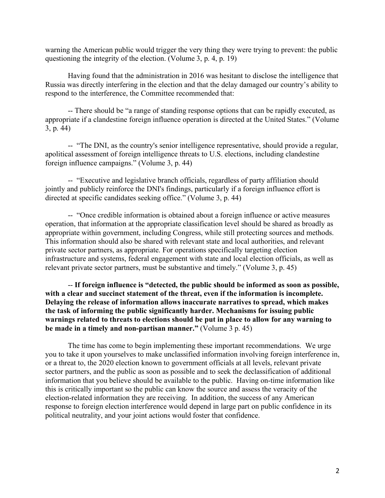warning the American public would trigger the very thing they were trying to prevent: the public questioning the integrity of the election. (Volume 3, p. 4, p. 19)

Having found that the administration in 2016 was hesitant to disclose the intelligence that Russia was directly interfering in the election and that the delay damaged our country's ability to respond to the interference, the Committee recommended that:

-- There should be "a range of standing response options that can be rapidly executed, as appropriate if a clandestine foreign influence operation is directed at the United States." (Volume 3, p. 44)

-- "The DNI, as the country's senior intelligence representative, should provide a regular, apolitical assessment of foreign intelligence threats to U.S. elections, including clandestine foreign influence campaigns." (Volume 3, p. 44)

-- "Executive and legislative branch officials, regardless of party affiliation should jointly and publicly reinforce the DNI's findings, particularly if a foreign influence effort is directed at specific candidates seeking office." (Volume 3, p. 44)

-- "Once credible information is obtained about a foreign influence or active measures operation, that information at the appropriate classification level should be shared as broadly as appropriate within government, including Congress, while still protecting sources and methods. This information should also be shared with relevant state and local authorities, and relevant private sector partners, as appropriate. For operations specifically targeting election infrastructure and systems, federal engagement with state and local election officials, as well as relevant private sector partners, must be substantive and timely." (Volume 3, p. 45)

-- **If foreign influence is "detected, the public should be informed as soon as possible, with a clear and succinct statement of the threat, even if the information is incomplete. Delaying the release of information allows inaccurate narratives to spread, which makes the task of informing the public significantly harder. Mechanisms for issuing public warnings related to threats to elections should be put in place to allow for any warning to be made in a timely and non-partisan manner."** (Volume 3 p. 45)

The time has come to begin implementing these important recommendations. We urge you to take it upon yourselves to make unclassified information involving foreign interference in, or a threat to, the 2020 election known to government officials at all levels, relevant private sector partners, and the public as soon as possible and to seek the declassification of additional information that you believe should be available to the public. Having on-time information like this is critically important so the public can know the source and assess the veracity of the election-related information they are receiving. In addition, the success of any American response to foreign election interference would depend in large part on public confidence in its political neutrality, and your joint actions would foster that confidence.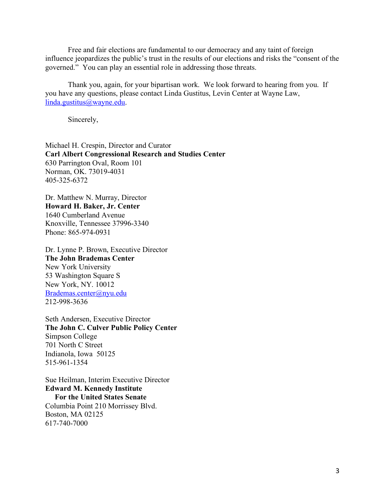Free and fair elections are fundamental to our democracy and any taint of foreign influence jeopardizes the public's trust in the results of our elections and risks the "consent of the governed." You can play an essential role in addressing those threats.

Thank you, again, for your bipartisan work. We look forward to hearing from you. If you have any questions, please contact Linda Gustitus, Levin Center at Wayne Law, linda.gustitus@wayne.edu.

Sincerely,

Michael H. Crespin, Director and Curator **Carl Albert Congressional Research and Studies Center** 630 Parrington Oval, Room 101 Norman, OK. 73019-4031 405-325-6372

Dr. Matthew N. Murray, Director **Howard H. Baker, Jr. Center** 1640 Cumberland Avenue Knoxville, Tennessee 37996-3340 Phone: 865-974-0931

Dr. Lynne P. Brown, Executive Director **The John Brademas Center** New York University 53 Washington Square S New York, NY. 10012 Brademas.center@nyu.edu 212-998-3636

Seth Andersen, Executive Director **The John C. Culver Public Policy Center** Simpson College 701 North C Street Indianola, Iowa 50125 515-961-1354

Sue Heilman, Interim Executive Director **Edward M. Kennedy Institute For the United States Senate** Columbia Point 210 Morrissey Blvd. Boston, MA 02125 617-740-7000